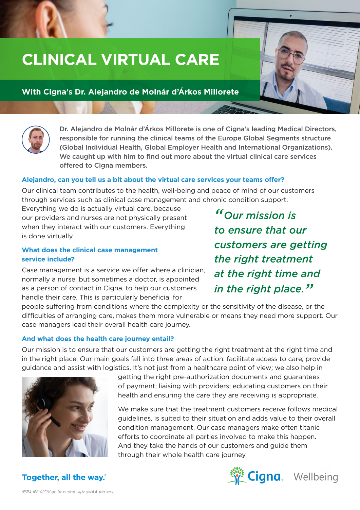# **CLINICAL VIRTUAL CARE**

# **With Cigna's Dr. Alejandro de Molnár d'Árkos Millorete**

Dr. Alejandro de Molnár d'Árkos Millorete is one of Cigna's leading Medical Directors, responsible for running the clinical teams of the Europe Global Segments structure (Global Individual Health, Global Employer Health and International Organizations). We caught up with him to find out more about the virtual clinical care services offered to Cigna members.

#### **Alejandro, can you tell us a bit about the virtual care services your teams offer?**

Our clinical team contributes to the health, well-being and peace of mind of our customers through services such as clinical case management and chronic condition support.

Everything we do is actually virtual care, because our providers and nurses are not physically present when they interact with our customers. Everything is done virtually.

### **What does the clinical case management service include?**

Case management is a service we offer where a clinician, normally a nurse, but sometimes a doctor, is appointed as a person of contact in Cigna, to help our customers handle their care. This is particularly beneficial for

*"Our mission is to ensure that our customers are getting the right treatment at the right time and in the right place."*

people suffering from conditions where the complexity or the sensitivity of the disease, or the difficulties of arranging care, makes them more vulnerable or means they need more support. Our case managers lead their overall health care journey.

#### **And what does the health care journey entail?**

Our mission is to ensure that our customers are getting the right treatment at the right time and in the right place. Our main goals fall into three areas of action: facilitate access to care, provide guidance and assist with logistics. It's not just from a healthcare point of view; we also help in



getting the right pre-authorization documents and guarantees of payment; liaising with providers; educating customers on their health and ensuring the care they are receiving is appropriate.

We make sure that the treatment customers receive follows medical guidelines, is suited to their situation and adds value to their overall condition management. Our case managers make often titanic efforts to coordinate all parties involved to make this happen. And they take the hands of our customers and guide them through their whole health care journey.



# **Together, all the way.**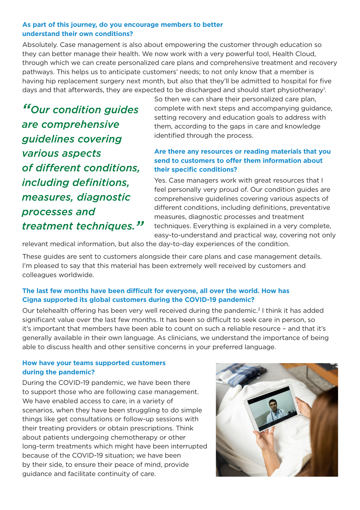### **As part of this journey, do you encourage members to better understand their own conditions?**

Absolutely. Case management is also about empowering the customer through education so they can better manage their health. We now work with a very powerful tool, Health Cloud, through which we can create personalized care plans and comprehensive treatment and recovery pathways. This helps us to anticipate customers' needs; to not only know that a member is having hip replacement surgery next month, but also that they'll be admitted to hospital for five days and that afterwards, they are expected to be discharged and should start physiotherapy<sup>1</sup>.

*"Our condition guides are comprehensive guidelines covering various aspects of different conditions, including definitions, measures, diagnostic processes and treatment techniques."*

So then we can share their personalized care plan, complete with next steps and accompanying guidance, setting recovery and education goals to address with them, according to the gaps in care and knowledge identified through the process.

## **Are there any resources or reading materials that you send to customers to offer them information about their specific conditions?**

Yes. Case managers work with great resources that I feel personally very proud of. Our condition guides are comprehensive guidelines covering various aspects of different conditions, including definitions, preventative measures, diagnostic processes and treatment techniques. Everything is explained in a very complete, easy-to-understand and practical way, covering not only

relevant medical information, but also the day-to-day experiences of the condition.

These guides are sent to customers alongside their care plans and case management details. I'm pleased to say that this material has been extremely well received by customers and colleagues worldwide.

## **The last few months have been difficult for everyone, all over the world. How has Cigna supported its global customers during the COVID-19 pandemic?**

Our telehealth offering has been very well received during the pandemic.2 I think it has added significant value over the last few months. It has been so difficult to seek care in person, so it's important that members have been able to count on such a reliable resource – and that it's generally available in their own language. As clinicians, we understand the importance of being able to discuss health and other sensitive concerns in your preferred language.

### **How have your teams supported customers during the pandemic?**

During the COVID-19 pandemic, we have been there to support those who are following case management. We have enabled access to care, in a variety of scenarios, when they have been struggling to do simple things like get consultations or follow-up sessions with their treating providers or obtain prescriptions. Think about patients undergoing chemotherapy or other long-term treatments which might have been interrupted because of the COVID-19 situation; we have been by their side, to ensure their peace of mind, provide guidance and facilitate continuity of care.